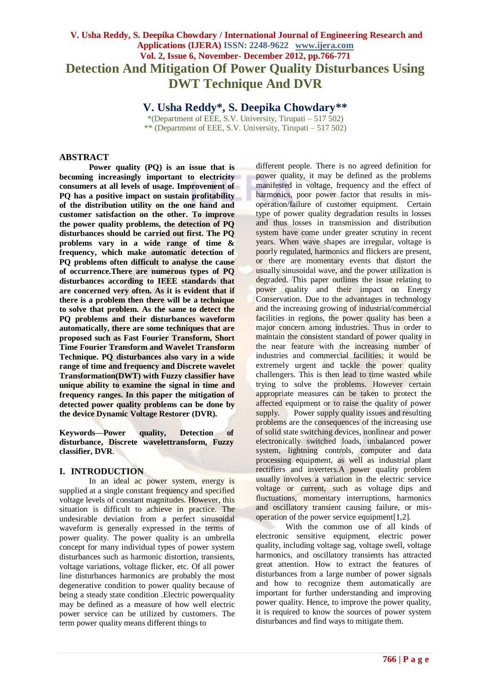# **V. Usha Reddy, S. Deepika Chowdary / International Journal of Engineering Research and Applications (IJERA) ISSN: 2248-9622 www.ijera.com Vol. 2, Issue 6, November- December 2012, pp.766-771 Detection And Mitigation Of Power Quality Disturbances Using DWT Technique And DVR**

**V. Usha Reddy\*, S. Deepika Chowdary\*\***

\*(Department of EEE, S.V. University, Tirupati –  $517,502$ ) \*\* (Department of EEE, S.V. University, Tirupati – 517 502)

## **ABSTRACT**

**Power quality (PQ) is an issue that is becoming increasingly important to electricity consumers at all levels of usage. Improvement of PQ has a positive impact on sustain profitability of the distribution utility on the one hand and customer satisfaction on the other. To improve the power quality problems, the detection of PQ disturbances should be carried out first. The PQ problems vary in a wide range of time & frequency, which make automatic detection of PQ problems often difficult to analyse the cause of occurrence.There are numerous types of PQ disturbances according to IEEE standards that are concerned very often. As it is evident that if there is a problem then there will be a technique to solve that problem. As the same to detect the PQ problems and their disturbances waveform automatically, there are some techniques that are proposed such as Fast Fourier Transform, Short Time Fourier Transform and Wavelet Transform Technique. PQ disturbances also vary in a wide range of time and frequency and Discrete wavelet Transformation(DWT) with Fuzzy classifier have unique ability to examine the signal in time and frequency ranges. In this paper the mitigation of detected power quality problems can be done by the device Dynamic Voltage Restorer (DVR).**

**Keywords—Power quality, Detection of disturbance, Discrete wavelettransform, Fuzzy classifier, DVR**.

## **I. INTRODUCTION**

In an ideal ac power system, energy is supplied at a single constant frequency and specified voltage levels of constant magnitudes. However, this situation is difficult to achieve in practice. The undesirable deviation from a perfect sinusoidal waveform is generally expressed in the terms of power quality. The power quality is an umbrella concept for many individual types of power system disturbances such as harmonic distortion, transients, voltage variations, voltage flicker, etc. Of all power line disturbances harmonics are probably the most degenerative condition to power quality because of being a steady state condition .Electric powerquality may be defined as a measure of how well electric power service can be utilized by customers. The term power quality means different things to

different people. There is no agreed definition for power quality, it may be defined as the problems manifested in voltage, frequency and the effect of harmonics, poor power factor that results in misoperation/failure of customer equipment. Certain type of power quality degradation results in losses and thus losses in transmission and distribution system have come under greater scrutiny in recent years. When wave shapes are irregular, voltage is poorly regulated, harmonics and flickers are present, or there are momentary events that distort the usually sinusoidal wave, and the power utilization is degraded. This paper outlines the issue relating to power quality and their impact on Energy Conservation. Due to the advantages in technology and the increasing growing of industrial/commercial facilities in regions, the power quality has been a major concern among industries. Thus in order to maintain the consistent standard of power quality in the near feature with the increasing number of industries and commercial facilities; it would be extremely urgent and tackle the power quality challengers. This is then lead to time wasted while trying to solve the problems. However certain appropriate measures can be taken to protect the affected equipment or to raise the quality of power supply. Power supply quality issues and resulting problems are the consequences of the increasing use of solid state switching devices, nonlinear and power electronically switched loads, unbalanced power system, lightning controls, computer and data processing equipment, as well as industrial plant rectifiers and inverters.A power quality problem usually involves a variation in the electric service voltage or current, such as voltage dips and fluctuations, momentary interruptions, harmonics and oscillatory transient causing failure, or misoperation of the power service equipment[1,2].

With the common use of all kinds of electronic sensitive equipment, electric power quality, including voltage sag, voltage swell, voltage harmonics, and oscillatory transients has attracted great attention. How to extract the features of disturbances from a large number of power signals and how to recognize them automatically are important for further understanding and improving power quality. Hence, to improve the power quality, it is required to know the sources of power system disturbances and find ways to mitigate them.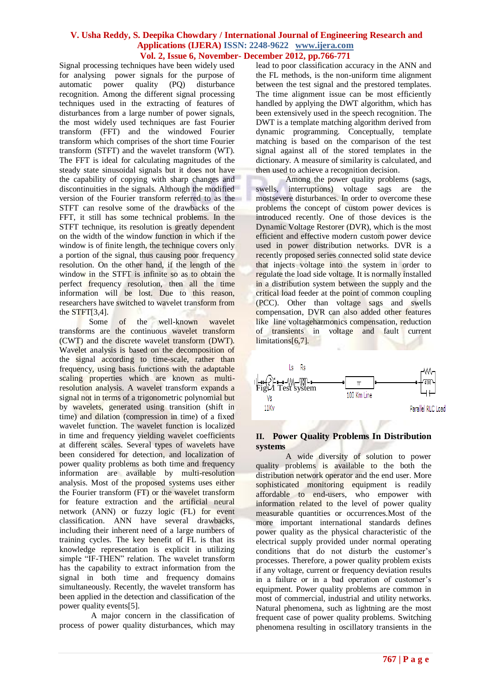Signal processing techniques have been widely used for analysing power signals for the purpose of automatic power quality (PQ) disturbance recognition. Among the different signal processing techniques used in the extracting of features of disturbances from a large number of power signals, the most widely used techniques are fast Fourier transform (FFT) and the windowed Fourier transform which comprises of the short time Fourier transform (STFT) and the wavelet transform (WT). The FFT is ideal for calculating magnitudes of the steady state sinusoidal signals but it does not have the capability of copying with sharp changes and discontinuities in the signals. Although the modified version of the Fourier transform referred to as the STFT can resolve some of the drawbacks of the FFT, it still has some technical problems. In the STFT technique, its resolution is greatly dependent on the width of the window function in which if the window is of finite length, the technique covers only a portion of the signal, thus causing poor frequency resolution. On the other hand, if the length of the window in the STFT is infinite so as to obtain the perfect frequency resolution, then all the time information will be lost. Due to this reason, researchers have switched to wavelet transform from the STFT[3,4].

Some of the well-known wavelet transforms are the continuous wavelet transform (CWT) and the discrete wavelet transform (DWT). Wavelet analysis is based on the decomposition of the signal according to time-scale, rather than frequency, using basis functions with the adaptable scaling properties which are known as multiresolution analysis. A wavelet transform expands a signal not in terms of a trigonometric polynomial but by wavelets, generated using transition (shift in time) and dilation (compression in time) of a fixed wavelet function. The wavelet function is localized in time and frequency yielding wavelet coefficients at different scales. Several types of wavelets have been considered for detection, and localization of power quality problems as both time and frequency information are available by multi-resolution analysis. Most of the proposed systems uses either the Fourier transform (FT) or the wavelet transform for feature extraction and the artificial neural network (ANN) or fuzzy logic (FL) for event classification. ANN have several drawbacks, including their inherent need of a large numbers of training cycles. The key benefit of FL is that its knowledge representation is explicit in utilizing simple "IF-THEN" relation. The wavelet transform has the capability to extract information from the signal in both time and frequency domains simultaneously. Recently, the wavelet transform has been applied in the detection and classification of the power quality events[5].

A major concern in the classification of process of power quality disturbances, which may lead to poor classification accuracy in the ANN and the FL methods, is the non-uniform time alignment between the test signal and the prestored templates. The time alignment issue can be most efficiently handled by applying the DWT algorithm, which has been extensively used in the speech recognition. The DWT is a template matching algorithm derived from dynamic programming. Conceptually, template matching is based on the comparison of the test signal against all of the stored templates in the dictionary. A measure of similarity is calculated, and then used to achieve a recognition decision.

Among the power quality problems (sags, swells, interruptions) voltage sags are the mostsevere disturbances. In order to overcome these problems the concept of custom power devices is introduced recently. One of those devices is the Dynamic Voltage Restorer (DVR), which is the most efficient and effective modern custom power device used in power distribution networks. DVR is a recently proposed series connected solid state device that injects voltage into the system in order to regulate the load side voltage. It is normally installed in a distribution system between the supply and the critical load feeder at the point of common coupling (PCC). Other than voltage sags and swells compensation, DVR can also added other features like line voltageharmonics compensation, reduction of transients in voltage and fault current limitations[6,7].



#### **II. Power Quality Problems In Distribution systems**

A wide diversity of solution to power quality problems is available to the both the distribution network operator and the end user. More sophisticated monitoring equipment is readily affordable to end-users, who empower with information related to the level of power quality measurable quantities or occurrences.Most of the more important international standards defines power quality as the physical characteristic of the electrical supply provided under normal operating conditions that do not disturb the customer's processes. Therefore, a power quality problem exists if any voltage, current or frequency deviation results in a failure or in a bad operation of customer's equipment. Power quality problems are common in most of commercial, industrial and utility networks. Natural phenomena, such as lightning are the most frequent case of power quality problems. Switching phenomena resulting in oscillatory transients in the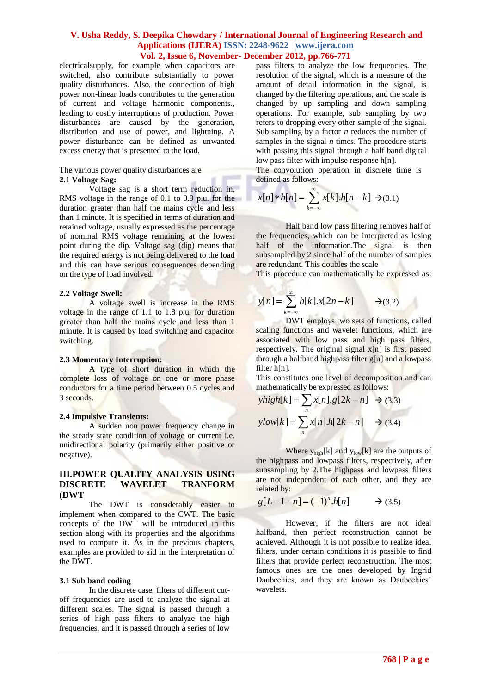electricalsupply, for example when capacitors are switched, also contribute substantially to power quality disturbances. Also, the connection of high power non-linear loads contributes to the generation of current and voltage harmonic components., leading to costly interruptions of production. Power disturbances are caused by the generation, distribution and use of power, and lightning. A power disturbance can be defined as unwanted excess energy that is presented to the load.

#### The various power quality disturbances are **2.1 Voltage Sag:**

Voltage sag is a short term reduction in, RMS voltage in the range of 0.1 to 0.9 p.u. for the duration greater than half the mains cycle and less than 1 minute. It is specified in terms of duration and retained voltage, usually expressed as the percentage of nominal RMS voltage remaining at the lowest point during the dip. Voltage sag (dip) means that the required energy is not being delivered to the load and this can have serious consequences depending on the type of load involved.

#### **2.2 Voltage Swell:**

A voltage swell is increase in the RMS voltage in the range of 1.1 to 1.8 p.u. for duration greater than half the mains cycle and less than 1 minute. It is caused by load switching and capacitor switching.

#### **2.3 Momentary Interruption:**

A type of short duration in which the complete loss of voltage on one or more phase conductors for a time period between 0.5 cycles and 3 seconds.

#### **2.4 Impulsive Transients:**

A sudden non power frequency change in the steady state condition of voltage or current i.e. unidirectional polarity (primarily either positive or negative).

## **III.POWER QUALITY ANALYSIS USING DISCRETE WAVELET TRANFORM (DWT**

The DWT is considerably easier to implement when compared to the CWT. The basic concepts of the DWT will be introduced in this section along with its properties and the algorithms used to compute it. As in the previous chapters, examples are provided to aid in the interpretation of the DWT.

#### **3.1 Sub band coding**

In the discrete case, filters of different cutoff frequencies are used to analyze the signal at different scales. The signal is passed through a series of high pass filters to analyze the high frequencies, and it is passed through a series of low

pass filters to analyze the low frequencies. The resolution of the signal, which is a measure of the amount of detail information in the signal, is changed by the filtering operations, and the scale is changed by up sampling and down sampling operations. For example, sub sampling by two refers to dropping every other sample of the signal. Sub sampling by a factor *n* reduces the number of samples in the signal *n* times. The procedure starts with passing this signal through a half band digital low pass filter with impulse response h[n].

The convolution operation in discrete time is defined as follows:

$$
x[n]*h[n] = \sum_{k=-\infty}^{\infty} x[k].h[n-k] \rightarrow (3.1)
$$

Half band low pass filtering removes half of the frequencies, which can be interpreted as losing half of the information. The signal is then subsampled by 2 since half of the number of samples are redundant. This doubles the scale

This procedure can mathematically be expressed as:

$$
y[n] = \sum_{k=-\infty}^{\infty} h[k] \cdot x[2n-k] \longrightarrow (3.2)
$$

DWT employs two sets of functions, called scaling functions and wavelet functions, which are associated with low pass and high pass filters, respectively. The original signal x[n] is first passed through a halfband highpass filter g[n] and a lowpass filter h[n].

This constitutes one level of decomposition and can

mathematically be expressed as follows:  
\n
$$
yhigh[k] = \sum_{n} x[n].g[2k - n] \rightarrow (3.3)
$$
\n
$$
ylow[k] = \sum_{n} x[n].h[2k - n] \rightarrow (3.4)
$$

Where  $y_{high}[k]$  and  $y_{low}[k]$  are the outputs of the highpass and lowpass filters, respectively, after subsampling by 2.The highpass and lowpass filters are not independent of each other, and they are related by:

$$
g[L-1-n] = (-1)^n \cdot h[n] \rightarrow (3.5)
$$

However, if the filters are not ideal halfband, then perfect reconstruction cannot be achieved. Although it is not possible to realize ideal filters, under certain conditions it is possible to find filters that provide perfect reconstruction. The most famous ones are the ones developed by Ingrid Daubechies, and they are known as Daubechies' wavelets.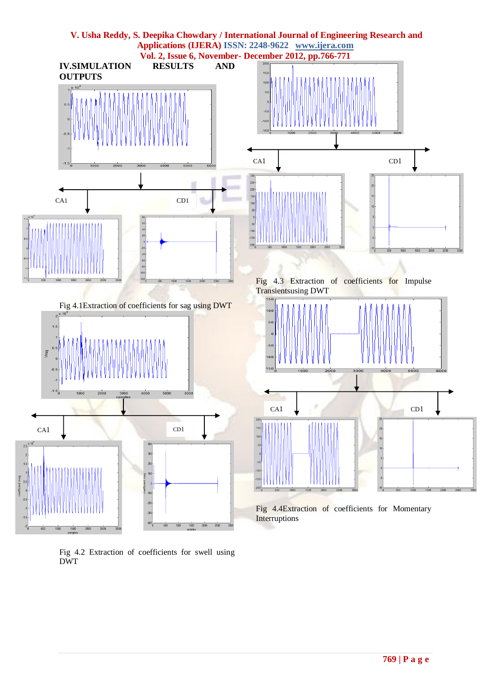

Fig 4.2 Extraction of coefficients for swell using DWT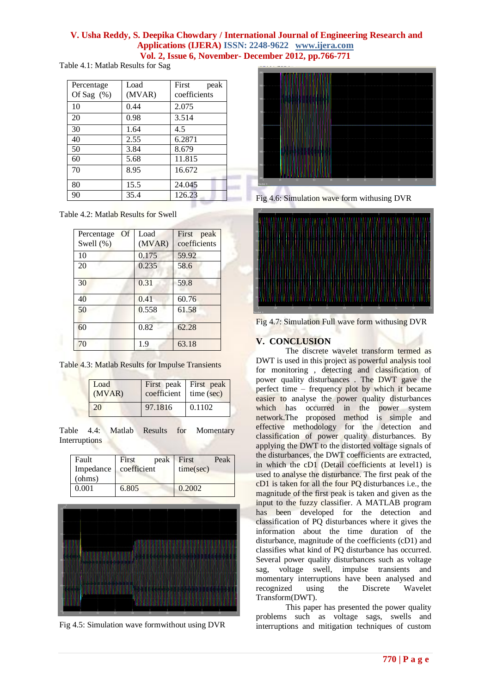Table 4.1: Matlab Results for Sag

| Percentage<br>Of Sag $(\% )$ | Load<br>(MVAR) | First<br>peak<br>coefficients |
|------------------------------|----------------|-------------------------------|
| 10                           | 0.44           | 2.075                         |
| 20                           | 0.98           | 3.514                         |
| 30                           | 1.64           | 4.5                           |
| 40                           | 2.55           | 6.2871                        |
| 50                           | 3.84           | 8.679                         |
| 60                           | 5.68           | 11.815                        |
| 70                           | 8.95           | 16.672                        |
| 80                           | 15.5           | 24.045                        |
| 90                           | 35.4           | 126.23                        |

Table 4.2: Matlab Results for Swell

| Percentage Of<br>Swell (%) | Load<br>(MVAR) | First peak<br>coefficients |
|----------------------------|----------------|----------------------------|
| 10                         | 0.175          | 59.92                      |
| 20                         | 0.235          | 58.6                       |
| 30                         | 0.31           | 59.8                       |
| 40                         | 0.41           | 60.76                      |
| 50                         | 0.558          | 61.58                      |
| 60                         | 0.82           | 62.28                      |
| 70                         | 1.9            | 63.18                      |

Table 4.3: Matlab Results for Impulse Transients

| Load<br>(MVAR) | coefficient   time (sec) | First peak First peak |  |
|----------------|--------------------------|-----------------------|--|
| 20             | 97.1816                  | 0.1102                |  |

Table 4.4: Matlab Results for Momentary Interruptions

| Fault  | <b>First</b>            | peak First |           | Peak |
|--------|-------------------------|------------|-----------|------|
|        | Impedance   coefficient |            | time(sec) |      |
| (ohms) |                         |            |           |      |
| 0.001  | 6.805                   |            | 0.2002    |      |



Fig 4.5: Simulation wave formwithout using DVR



Fig 4.6: Simulation wave form withusing DVR



Fig 4.7: Simulation Full wave form withusing DVR

## **V. CONCLUSION**

The discrete wavelet transform termed as DWT is used in this project as powerful analysis tool for monitoring , detecting and classification of power quality disturbances . The DWT gave the perfect time – frequency plot by which it became easier to analyse the power quality disturbances which has occurred in the power system network.The proposed method is simple and effective methodology for the detection and classification of power quality disturbances. By applying the DWT to the distorted voltage signals of the disturbances, the DWT coefficients are extracted, in which the cD1 (Detail coefficients at level1) is used to analyse the disturbance. The first peak of the cD1 is taken for all the four PQ disturbances i.e., the magnitude of the first peak is taken and given as the input to the fuzzy classifier. A MATLAB program has been developed for the detection and classification of PQ disturbances where it gives the information about the time duration of the disturbance, magnitude of the coefficients (cD1) and classifies what kind of PQ disturbance has occurred. Several power quality disturbances such as voltage sag, voltage swell, impulse transients and momentary interruptions have been analysed and recognized using the Discrete Wavelet Transform(DWT).

This paper has presented the power quality problems such as voltage sags, swells and interruptions and mitigation techniques of custom